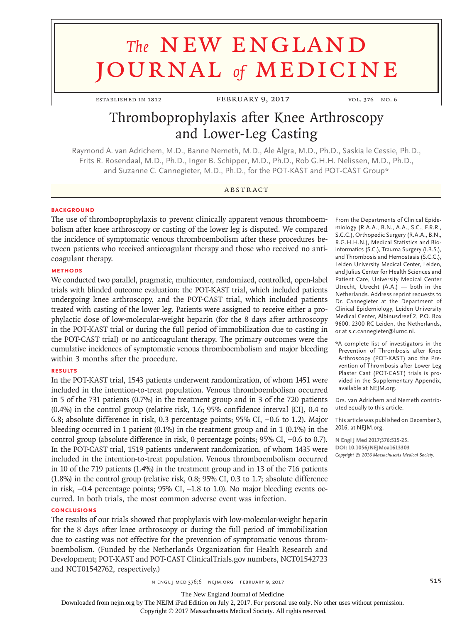# **The NEW ENGLAND** journal *of* medicine

ESTABLISHED IN 1812 FEBRUARY 9, 2017 VOL. 376 NO. 6

# Thromboprophylaxis after Knee Arthroscopy and Lower-Leg Casting

Raymond A. van Adrichem, M.D., Banne Nemeth, M.D., Ale Algra, M.D., Ph.D., Saskia le Cessie, Ph.D., Frits R. Rosendaal, M.D., Ph.D., Inger B. Schipper, M.D., Ph.D., Rob G.H.H. Nelissen, M.D., Ph.D., and Suzanne C. Cannegieter, M.D., Ph.D., for the POT-KAST and POT-CAST Group\*

#### **ABSTRACT**

#### **BACKGROUND**

The use of thromboprophylaxis to prevent clinically apparent venous thromboembolism after knee arthroscopy or casting of the lower leg is disputed. We compared the incidence of symptomatic venous thromboembolism after these procedures between patients who received anticoagulant therapy and those who received no anticoagulant therapy.

#### **METHODS**

We conducted two parallel, pragmatic, multicenter, randomized, controlled, open-label trials with blinded outcome evaluation: the POT-KAST trial, which included patients undergoing knee arthroscopy, and the POT-CAST trial, which included patients treated with casting of the lower leg. Patients were assigned to receive either a prophylactic dose of low-molecular-weight heparin (for the 8 days after arthroscopy in the POT-KAST trial or during the full period of immobilization due to casting in the POT-CAST trial) or no anticoagulant therapy. The primary outcomes were the cumulative incidences of symptomatic venous thromboembolism and major bleeding within 3 months after the procedure.

#### **RESULTS**

In the POT-KAST trial, 1543 patients underwent randomization, of whom 1451 were included in the intention-to-treat population. Venous thromboembolism occurred in 5 of the 731 patients (0.7%) in the treatment group and in 3 of the 720 patients (0.4%) in the control group (relative risk, 1.6; 95% confidence interval [CI], 0.4 to 6.8; absolute difference in risk, 0.3 percentage points; 95% CI, −0.6 to 1.2). Major bleeding occurred in 1 patient (0.1%) in the treatment group and in 1 (0.1%) in the control group (absolute difference in risk, 0 percentage points; 95% CI, −0.6 to 0.7). In the POT-CAST trial, 1519 patients underwent randomization, of whom 1435 were included in the intention-to-treat population. Venous thromboembolism occurred in 10 of the 719 patients (1.4%) in the treatment group and in 13 of the 716 patients (1.8%) in the control group (relative risk, 0.8; 95% CI, 0.3 to 1.7; absolute difference in risk, −0.4 percentage points; 95% CI, −1.8 to 1.0). No major bleeding events occurred. In both trials, the most common adverse event was infection.

#### **CONCLUSIONS**

The results of our trials showed that prophylaxis with low-molecular-weight heparin for the 8 days after knee arthroscopy or during the full period of immobilization due to casting was not effective for the prevention of symptomatic venous thromboembolism. (Funded by the Netherlands Organization for Health Research and Development; POT-KAST and POT-CAST ClinicalTrials.gov numbers, NCT01542723 and NCT01542762, respectively.)

From the Departments of Clinical Epidemiology (R.A.A., B.N., A.A., S.C., F.R.R., S.C.C.), Orthopedic Surgery (R.A.A., B.N., R.G.H.H.N.), Medical Statistics and Bioinformatics (S.C.), Trauma Surgery (I.B.S.), and Thrombosis and Hemostasis (S.C.C.), Leiden University Medical Center, Leiden, and Julius Center for Health Sciences and Patient Care, University Medical Center Utrecht, Utrecht (A.A.) — both in the Netherlands. Address reprint requests to Dr. Cannegieter at the Department of Clinical Epidemiology, Leiden University Medical Center, Albinusdreef 2, P.O. Box 9600, 2300 RC Leiden, the Netherlands, or at s.c.cannegieter@lumc.nl.

\*A complete list of investigators in the Prevention of Thrombosis after Knee Arthroscopy (POT-KAST) and the Prevention of Thrombosis after Lower Leg Plaster Cast (POT-CAST) trials is provided in the Supplementary Appendix, available at NEJM.org.

Drs. van Adrichem and Nemeth contributed equally to this article.

This article was published on December 3, 2016, at NEJM.org.

**N Engl J Med 2017;376:515-25. DOI: 10.1056/NEJMoa1613303** *Copyright © 2016 Massachusetts Medical Society.*

n engl j med 376;6 nejm.org February 9, 2017 515

The New England Journal of Medicine

Downloaded from nejm.org by The NEJM iPad Edition on July 2, 2017. For personal use only. No other uses without permission.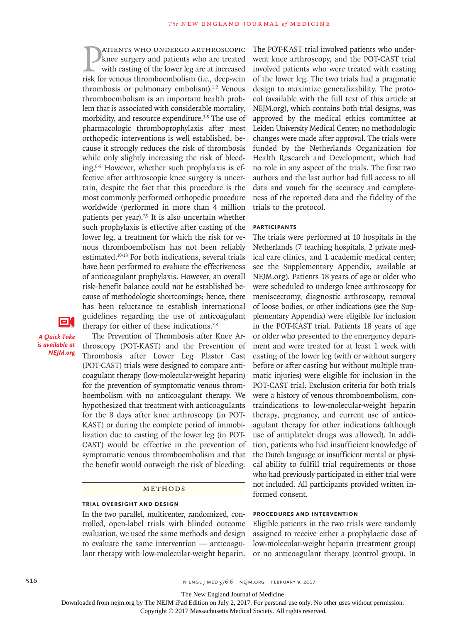**EXECUTE STATE STATE STATE SHOW SET SHOWS FOR STATE SHOWSTANDUST STATE STATE SHOWSTANDUST SHOWSTAND STATE SHOWSTAND STATE SHOWSTAND STATE SHOWSTAND STATE SHOWSTAND STATE SHOWSTAND SHOWSTAND STATE SHOWSTAND SHOWSTAND SHOWST** atients who undergo arthroscopic knee surgery and patients who are treated with casting of the lower leg are at increased thrombosis or pulmonary embolism). $1,2$  Venous thromboembolism is an important health problem that is associated with considerable mortality, morbidity, and resource expenditure.<sup>3-5</sup> The use of pharmacologic thromboprophylaxis after most orthopedic interventions is well established, because it strongly reduces the risk of thrombosis while only slightly increasing the risk of bleeding.6-8 However, whether such prophylaxis is effective after arthroscopic knee surgery is uncertain, despite the fact that this procedure is the most commonly performed orthopedic procedure worldwide (performed in more than 4 million patients per year).<sup>7,9</sup> It is also uncertain whether such prophylaxis is effective after casting of the lower leg, a treatment for which the risk for venous thromboembolism has not been reliably estimated.10-13 For both indications, several trials have been performed to evaluate the effectiveness of anticoagulant prophylaxis. However, an overall risk–benefit balance could not be established because of methodologic shortcomings; hence, there has been reluctance to establish international guidelines regarding the use of anticoagulant therapy for either of these indications.<sup>7,8</sup>

О.

*A Quick Take is available at NEJM.org*

The Prevention of Thrombosis after Knee Arthroscopy (POT-KAST) and the Prevention of Thrombosis after Lower Leg Plaster Cast (POT-CAST) trials were designed to compare anticoagulant therapy (low-molecular-weight heparin) for the prevention of symptomatic venous thromboembolism with no anticoagulant therapy. We hypothesized that treatment with anticoagulants for the 8 days after knee arthroscopy (in POT-KAST) or during the complete period of immobilization due to casting of the lower leg (in POT-CAST) would be effective in the prevention of symptomatic venous thromboembolism and that the benefit would outweigh the risk of bleeding.

#### **METHODS**

#### **Trial Oversight and Design**

In the two parallel, multicenter, randomized, controlled, open-label trials with blinded outcome evaluation, we used the same methods and design to evaluate the same intervention — anticoagulant therapy with low-molecular-weight heparin.

The POT-KAST trial involved patients who underwent knee arthroscopy, and the POT-CAST trial involved patients who were treated with casting of the lower leg. The two trials had a pragmatic design to maximize generalizability. The protocol (available with the full text of this article at NEJM.org), which contains both trial designs, was approved by the medical ethics committee at Leiden University Medical Center; no methodologic changes were made after approval. The trials were funded by the Netherlands Organization for Health Research and Development, which had no role in any aspect of the trials. The first two authors and the last author had full access to all data and vouch for the accuracy and completeness of the reported data and the fidelity of the trials to the protocol.

#### **Participants**

The trials were performed at 10 hospitals in the Netherlands (7 teaching hospitals, 2 private medical care clinics, and 1 academic medical center; see the Supplementary Appendix, available at NEJM.org). Patients 18 years of age or older who were scheduled to undergo knee arthroscopy for meniscectomy, diagnostic arthroscopy, removal of loose bodies, or other indications (see the Supplementary Appendix) were eligible for inclusion in the POT-KAST trial. Patients 18 years of age or older who presented to the emergency department and were treated for at least 1 week with casting of the lower leg (with or without surgery before or after casting but without multiple traumatic injuries) were eligible for inclusion in the POT-CAST trial. Exclusion criteria for both trials were a history of venous thromboembolism, contraindications to low-molecular-weight heparin therapy, pregnancy, and current use of anticoagulant therapy for other indications (although use of antiplatelet drugs was allowed). In addition, patients who had insufficient knowledge of the Dutch language or insufficient mental or physical ability to fulfill trial requirements or those who had previously participated in either trial were not included. All participants provided written informed consent.

#### **Procedures and Intervention**

Eligible patients in the two trials were randomly assigned to receive either a prophylactic dose of low-molecular-weight heparin (treatment group) or no anticoagulant therapy (control group). In

516 **S16** N ENGL J MED 376;6 NEJM.ORG FEBRUARY 9, 2017

The New England Journal of Medicine

Downloaded from nejm.org by The NEJM iPad Edition on July 2, 2017. For personal use only. No other uses without permission.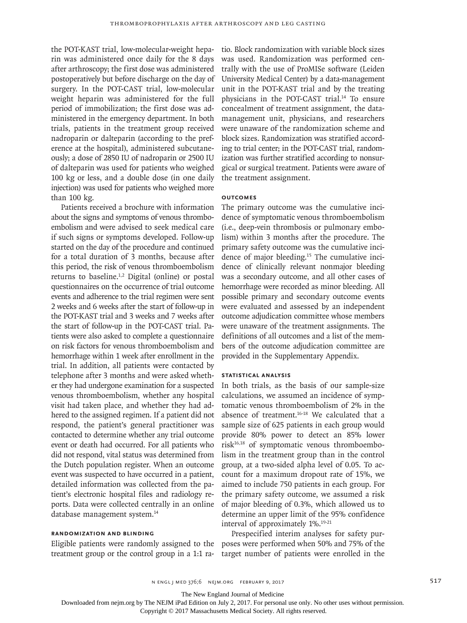the POT-KAST trial, low-molecular-weight heparin was administered once daily for the 8 days after arthroscopy; the first dose was administered postoperatively but before discharge on the day of surgery. In the POT-CAST trial, low-molecular weight heparin was administered for the full period of immobilization; the first dose was administered in the emergency department. In both trials, patients in the treatment group received nadroparin or dalteparin (according to the preference at the hospital), administered subcutaneously; a dose of 2850 IU of nadroparin or 2500 IU of dalteparin was used for patients who weighed 100 kg or less, and a double dose (in one daily injection) was used for patients who weighed more than 100 kg.

Patients received a brochure with information about the signs and symptoms of venous thromboembolism and were advised to seek medical care if such signs or symptoms developed. Follow-up started on the day of the procedure and continued for a total duration of 3 months, because after this period, the risk of venous thromboembolism returns to baseline.<sup>1,2</sup> Digital (online) or postal questionnaires on the occurrence of trial outcome events and adherence to the trial regimen were sent 2 weeks and 6 weeks after the start of follow-up in the POT-KAST trial and 3 weeks and 7 weeks after the start of follow-up in the POT-CAST trial. Patients were also asked to complete a questionnaire on risk factors for venous thromboembolism and hemorrhage within 1 week after enrollment in the trial. In addition, all patients were contacted by telephone after 3 months and were asked whether they had undergone examination for a suspected venous thromboembolism, whether any hospital visit had taken place, and whether they had adhered to the assigned regimen. If a patient did not respond, the patient's general practitioner was contacted to determine whether any trial outcome event or death had occurred. For all patients who did not respond, vital status was determined from the Dutch population register. When an outcome event was suspected to have occurred in a patient, detailed information was collected from the patient's electronic hospital files and radiology reports. Data were collected centrally in an online database management system.14

#### **Randomization and Blinding**

Eligible patients were randomly assigned to the treatment group or the control group in a 1:1 ra-

tio. Block randomization with variable block sizes was used. Randomization was performed centrally with the use of ProMISe software (Leiden University Medical Center) by a data-management unit in the POT-KAST trial and by the treating physicians in the POT-CAST trial.<sup>14</sup> To ensure concealment of treatment assignment, the datamanagement unit, physicians, and researchers were unaware of the randomization scheme and block sizes. Randomization was stratified according to trial center; in the POT-CAST trial, randomization was further stratified according to nonsurgical or surgical treatment. Patients were aware of the treatment assignment.

#### **Outcomes**

The primary outcome was the cumulative incidence of symptomatic venous thromboembolism (i.e., deep-vein thrombosis or pulmonary embolism) within 3 months after the procedure. The primary safety outcome was the cumulative incidence of major bleeding.15 The cumulative incidence of clinically relevant nonmajor bleeding was a secondary outcome, and all other cases of hemorrhage were recorded as minor bleeding. All possible primary and secondary outcome events were evaluated and assessed by an independent outcome adjudication committee whose members were unaware of the treatment assignments. The definitions of all outcomes and a list of the members of the outcome adjudication committee are provided in the Supplementary Appendix.

#### **Statistical Analysis**

In both trials, as the basis of our sample-size calculations, we assumed an incidence of symptomatic venous thromboembolism of 2% in the absence of treatment.16-18 We calculated that a sample size of 625 patients in each group would provide 80% power to detect an 85% lower risk16,18 of symptomatic venous thromboembolism in the treatment group than in the control group, at a two-sided alpha level of 0.05. To account for a maximum dropout rate of 15%, we aimed to include 750 patients in each group. For the primary safety outcome, we assumed a risk of major bleeding of 0.3%, which allowed us to determine an upper limit of the 95% confidence interval of approximately 1%.19-21

Prespecified interim analyses for safety purposes were performed when 50% and 75% of the target number of patients were enrolled in the

The New England Journal of Medicine

Downloaded from nejm.org by The NEJM iPad Edition on July 2, 2017. For personal use only. No other uses without permission.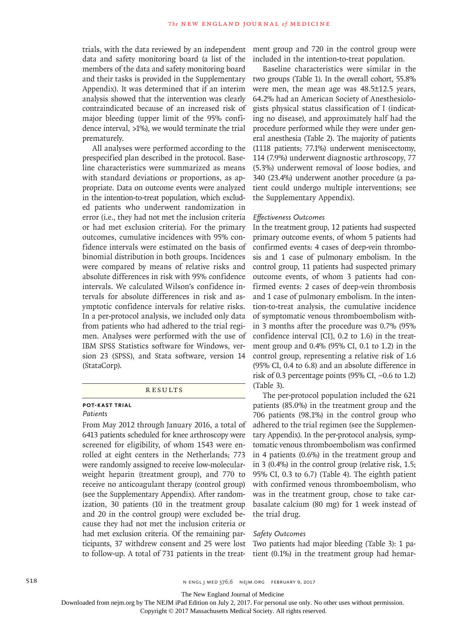trials, with the data reviewed by an independent data and safety monitoring board (a list of the members of the data and safety monitoring board and their tasks is provided in the Supplementary Appendix). It was determined that if an interim analysis showed that the intervention was clearly contraindicated because of an increased risk of major bleeding (upper limit of the 95% confidence interval, >1%), we would terminate the trial prematurely.

All analyses were performed according to the prespecified plan described in the protocol. Baseline characteristics were summarized as means with standard deviations or proportions, as appropriate. Data on outcome events were analyzed in the intention-to-treat population, which excluded patients who underwent randomization in error (i.e., they had not met the inclusion criteria or had met exclusion criteria). For the primary outcomes, cumulative incidences with 95% confidence intervals were estimated on the basis of binomial distribution in both groups. Incidences were compared by means of relative risks and absolute differences in risk with 95% confidence intervals. We calculated Wilson's confidence intervals for absolute differences in risk and asymptotic confidence intervals for relative risks. In a per-protocol analysis, we included only data from patients who had adhered to the trial regimen. Analyses were performed with the use of IBM SPSS Statistics software for Windows, version 23 (SPSS), and Stata software, version 14 (StataCorp).

#### **RESULTS**

### **POT-KAST Trial**

#### *Patients*

From May 2012 through January 2016, a total of 6413 patients scheduled for knee arthroscopy were screened for eligibility, of whom 1543 were enrolled at eight centers in the Netherlands; 773 were randomly assigned to receive low-molecularweight heparin (treatment group), and 770 to receive no anticoagulant therapy (control group) (see the Supplementary Appendix). After randomization, 30 patients (10 in the treatment group and 20 in the control group) were excluded because they had not met the inclusion criteria or had met exclusion criteria. Of the remaining participants, 37 withdrew consent and 25 were lost to follow-up. A total of 731 patients in the treatment group and 720 in the control group were included in the intention-to-treat population.

Baseline characteristics were similar in the two groups (Table 1). In the overall cohort, 55.8% were men, the mean age was 48.5±12.5 years, 64.2% had an American Society of Anesthesiologists physical status classification of I (indicating no disease), and approximately half had the procedure performed while they were under general anesthesia (Table 2). The majority of patients (1118 patients; 77.1%) underwent meniscectomy, 114 (7.9%) underwent diagnostic arthroscopy, 77 (5.3%) underwent removal of loose bodies, and 340 (23.4%) underwent another procedure (a patient could undergo multiple interventions; see the Supplementary Appendix).

#### *Effectiveness Outcomes*

In the treatment group, 12 patients had suspected primary outcome events, of whom 5 patients had confirmed events: 4 cases of deep-vein thrombosis and 1 case of pulmonary embolism. In the control group, 11 patients had suspected primary outcome events, of whom 3 patients had confirmed events: 2 cases of deep-vein thrombosis and 1 case of pulmonary embolism. In the intention-to-treat analysis, the cumulative incidence of symptomatic venous thromboembolism within 3 months after the procedure was 0.7% (95% confidence interval [CI], 0.2 to 1.6) in the treatment group and 0.4% (95% CI, 0.1 to 1.2) in the control group, representing a relative risk of 1.6 (95% CI, 0.4 to 6.8) and an absolute difference in risk of 0.3 percentage points (95% CI, −0.6 to 1.2) (Table 3).

The per-protocol population included the 621 patients (85.0%) in the treatment group and the 706 patients (98.1%) in the control group who adhered to the trial regimen (see the Supplementary Appendix). In the per-protocol analysis, symptomatic venous thromboembolism was confirmed in 4 patients (0.6%) in the treatment group and in 3 (0.4%) in the control group (relative risk, 1.5; 95% CI, 0.3 to 6.7) (Table 4). The eighth patient with confirmed venous thromboembolism, who was in the treatment group, chose to take carbasalate calcium (80 mg) for 1 week instead of the trial drug.

#### *Safety Outcomes*

Two patients had major bleeding (Table 3): 1 patient (0.1%) in the treatment group had hemar-

The New England Journal of Medicine

Downloaded from nejm.org by The NEJM iPad Edition on July 2, 2017. For personal use only. No other uses without permission.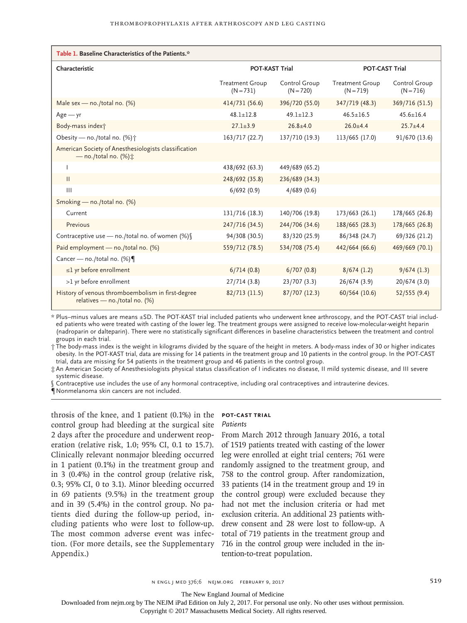| Table 1. Baseline Characteristics of the Patients.*                                 |                                       |                              |                                       |                              |
|-------------------------------------------------------------------------------------|---------------------------------------|------------------------------|---------------------------------------|------------------------------|
| Characteristic                                                                      | <b>POT-KAST Trial</b>                 |                              | <b>POT-CAST Trial</b>                 |                              |
|                                                                                     | <b>Treatment Group</b><br>$(N = 731)$ | Control Group<br>$(N = 720)$ | <b>Treatment Group</b><br>$(N = 719)$ | Control Group<br>$(N = 716)$ |
| Male sex - no./total no. $(%)$                                                      | 414/731 (56.6)                        | 396/720 (55.0)               | 347/719 (48.3)                        | 369/716 (51.5)               |
| $Age - yr$                                                                          | $48.1 \pm 12.8$                       | $49.1 + 12.3$                | $46.5 \pm 16.5$                       | $45.6 \pm 16.4$              |
| Body-mass index†                                                                    | $27.1 + 3.9$                          | $26.8 \pm 4.0$               | $26.0 + 4.4$                          | $25.7 + 4.4$                 |
| Obesity - no./total no. (%) <sup>+</sup>                                            | 163/717 (22.7)                        | 137/710 (19.3)               | 113/665 (17.0)                        | 91/670 (13.6)                |
| American Society of Anesthesiologists classification<br>$-$ no./total no. (%) $\pm$ |                                       |                              |                                       |                              |
|                                                                                     | 438/692 (63.3)                        | 449/689 (65.2)               |                                       |                              |
| $\mathbf{H}$                                                                        | 248/692 (35.8)                        | 236/689 (34.3)               |                                       |                              |
| $\mathbf{III}$                                                                      | 6/692(0.9)                            | 4/689(0.6)                   |                                       |                              |
| Smoking - no./total no. (%)                                                         |                                       |                              |                                       |                              |
| Current                                                                             | 131/716 (18.3)                        | 140/706 (19.8)               | 173/663 (26.1)                        | 178/665 (26.8)               |
| Previous                                                                            | 247/716 (34.5)                        | 244/706 (34.6)               | 188/665 (28.3)                        | 178/665 (26.8)               |
| Contraceptive use - no./total no. of women (%)                                      | 94/308 (30.5)                         | 83/320 (25.9)                | 86/348 (24.7)                         | 69/326 (21.2)                |
| Paid employment - no./total no. (%)                                                 | 559/712 (78.5)                        | 534/708 (75.4)               | 442/664 (66.6)                        | 469/669 (70.1)               |
| Cancer - no./total no. (%)                                                          |                                       |                              |                                       |                              |
| $\leq$ 1 yr before enrollment                                                       | 6/714(0.8)                            | 6/707(0.8)                   | 8/674(1.2)                            | 9/674(1.3)                   |
| >1 yr before enrollment                                                             | 27/714(3.8)                           | 23/707(3.3)                  | 26/674 (3.9)                          | 20/674 (3.0)                 |
| History of venous thromboembolism in first-degree<br>relatives - no./total no. (%)  | 82/713 (11.5)                         | 87/707 (12.3)                | 60/564 (10.6)                         | 52/555(9.4)                  |

\* Plus–minus values are means ±SD. The POT-KAST trial included patients who underwent knee arthroscopy, and the POT-CAST trial included patients who were treated with casting of the lower leg. The treatment groups were assigned to receive low-molecular-weight heparin (nadroparin or dalteparin). There were no statistically significant differences in baseline characteristics between the treatment and control groups in each trial.

† The body-mass index is the weight in kilograms divided by the square of the height in meters. A body-mass index of 30 or higher indicates obesity. In the POT-KAST trial, data are missing for 14 patients in the treatment group and 10 patients in the control group. In the POT-CAST trial, data are missing for 54 patients in the treatment group and 46 patients in the control group.

‡ An American Society of Anesthesiologists physical status classification of I indicates no disease, II mild systemic disease, and III severe systemic disease.

Contraceptive use includes the use of any hormonal contraceptive, including oral contraceptives and intrauterine devices. ¶ Nonmelanoma skin cancers are not included.

throsis of the knee, and 1 patient (0.1%) in the control group had bleeding at the surgical site 2 days after the procedure and underwent reoperation (relative risk, 1.0; 95% CI, 0.1 to 15.7). Clinically relevant nonmajor bleeding occurred in 1 patient (0.1%) in the treatment group and in 3 (0.4%) in the control group (relative risk, 0.3; 95% CI, 0 to 3.1). Minor bleeding occurred in 69 patients (9.5%) in the treatment group and in 39 (5.4%) in the control group. No patients died during the follow-up period, including patients who were lost to follow-up. The most common adverse event was infection. (For more details, see the Supplementary Appendix.)

## **POT-CAST Trial**

*Patients*

From March 2012 through January 2016, a total of 1519 patients treated with casting of the lower leg were enrolled at eight trial centers; 761 were randomly assigned to the treatment group, and 758 to the control group. After randomization, 33 patients (14 in the treatment group and 19 in the control group) were excluded because they had not met the inclusion criteria or had met exclusion criteria. An additional 23 patients withdrew consent and 28 were lost to follow-up. A total of 719 patients in the treatment group and 716 in the control group were included in the intention-to-treat population.

The New England Journal of Medicine

Downloaded from nejm.org by The NEJM iPad Edition on July 2, 2017. For personal use only. No other uses without permission.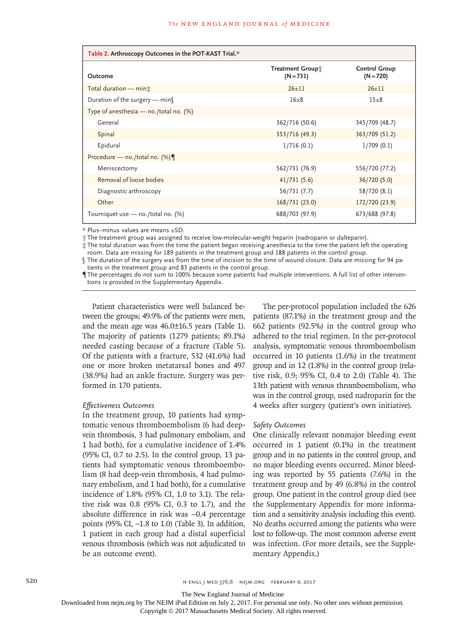| Table 2. Arthroscopy Outcomes in the POT-KAST Trial.* |                                 |                                     |  |  |
|-------------------------------------------------------|---------------------------------|-------------------------------------|--|--|
| Outcome                                               | Treatment Group;<br>$(N = 731)$ | <b>Control Group</b><br>$(N = 720)$ |  |  |
| Total duration - min <sub>i</sub>                     | $26 + 11$                       | $26 \pm 11$                         |  |  |
| Duration of the surgery $-$ min                       | $16\pm8$                        | $15\pm8$                            |  |  |
| Type of anesthesia $-$ no./total no. (%)              |                                 |                                     |  |  |
| General                                               | 362/716 (50.6)                  | 345/709 (48.7)                      |  |  |
| Spinal                                                | 353/716 (49.3)                  | 363/709 (51.2)                      |  |  |
| Epidural                                              | 1/716(0.1)                      | 1/709(0.1)                          |  |  |
| Procedure - no./total no. (%)                         |                                 |                                     |  |  |
| Meniscectomy                                          | 562/731 (76.9)                  | 556/720 (77.2)                      |  |  |
| Removal of loose bodies                               | 41/731(5.6)                     | 36/720 (5.0)                        |  |  |
| Diagnostic arthroscopy                                | 56/731 (7.7)                    | 58/720 (8.1)                        |  |  |
| Other                                                 | 168/731 (23.0)                  | 172/720 (23.9)                      |  |  |
| Tourniquet use - no./total no. (%)                    | 688/703 (97.9)                  | 673/688 (97.8)                      |  |  |

\* Plus–minus values are means ±SD.

† The treatment group was assigned to receive low-molecular-weight heparin (nadroparin or dalteparin).

‡ The total duration was from the time the patient began receiving anesthesia to the time the patient left the operating room. Data are missing for 189 patients in the treatment group and 188 patients in the control group.

§ The duration of the surgery was from the time of incision to the time of wound closure. Data are missing for 94 patients in the treatment group and 83 patients in the control group.

¶ The percentages do not sum to 100% because some patients had multiple interventions. A full list of other interventions is provided in the Supplementary Appendix.

Patient characteristics were well balanced between the groups; 49.9% of the patients were men, and the mean age was 46.0±16.5 years (Table 1). The majority of patients (1279 patients; 89.1%) needed casting because of a fracture (Table 5). Of the patients with a fracture, 532 (41.6%) had one or more broken metatarsal bones and 497 (38.9%) had an ankle fracture. Surgery was performed in 170 patients.

#### *Effectiveness Outcomes*

In the treatment group, 10 patients had symptomatic venous thromboembolism (6 had deepvein thrombosis, 3 had pulmonary embolism, and 1 had both), for a cumulative incidence of 1.4% (95% CI, 0.7 to 2.5). In the control group, 13 patients had symptomatic venous thromboembolism (8 had deep-vein thrombosis, 4 had pulmonary embolism, and 1 had both), for a cumulative incidence of 1.8% (95% CI, 1.0 to 3.1). The relative risk was 0.8 (95% CI, 0.3 to 1.7), and the absolute difference in risk was −0.4 percentage points (95% CI, −1.8 to 1.0) (Table 3). In addition, 1 patient in each group had a distal superficial venous thrombosis (which was not adjudicated to be an outcome event).

The per-protocol population included the 626 patients (87.1%) in the treatment group and the 662 patients (92.5%) in the control group who adhered to the trial regimen. In the per-protocol analysis, symptomatic venous thromboembolism occurred in 10 patients (1.6%) in the treatment group and in 12 (1.8%) in the control group (relative risk, 0.9; 95% CI, 0.4 to 2.0) (Table 4). The 13th patient with venous thromboembolism, who was in the control group, used nadroparin for the 4 weeks after surgery (patient's own initiative).

#### *Safety Outcomes*

One clinically relevant nonmajor bleeding event occurred in 1 patient (0.1%) in the treatment group and in no patients in the control group, and no major bleeding events occurred. Minor bleeding was reported by 55 patients (7.6%) in the treatment group and by 49 (6.8%) in the control group. One patient in the control group died (see the Supplementary Appendix for more information and a sensitivity analysis including this event). No deaths occurred among the patients who were lost to follow-up. The most common adverse event was infection. (For more details, see the Supplementary Appendix.)

520 **N ENGL J MED 376;6 NEIM.ORG FEBRUARY 9, 2017** 

The New England Journal of Medicine

Downloaded from nejm.org by The NEJM iPad Edition on July 2, 2017. For personal use only. No other uses without permission.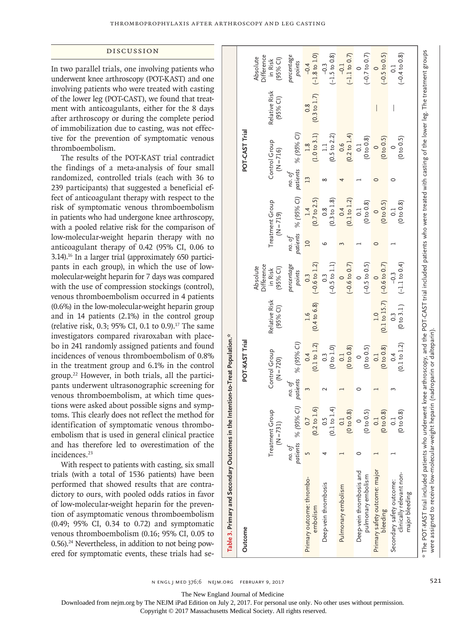#### Discussion

In two parallel trials, one involving patients who underwent knee arthroscopy (POT-KAST) and one involving patients who were treated with casting of the lower leg (POT-CAST), we found that treatment with anticoagulants, either for the 8 days after arthroscopy or during the complete period of immobilization due to casting, was not effective for the prevention of symptomatic venous thromboembolism.

The results of the POT-KAST trial contradict the findings of a meta-analysis of four small randomized, controlled trials (each with 36 to 239 participants) that suggested a beneficial effect of anticoagulant therapy with respect to the risk of symptomatic venous thromboembolism in patients who had undergone knee arthroscopy, with a pooled relative risk for the comparison of low-molecular-weight heparin therapy with no anticoagulant therapy of 0.42 (95% CI, 0.06 to 3.14).16 In a larger trial (approximately 650 participants in each group), in which the use of lowmolecular-weight heparin for 7 days was compared with the use of compression stockings (control), venous thromboembolism occurred in 4 patients (0.6%) in the low-molecular-weight heparin group and in 14 patients (2.1%) in the control group (relative risk, 0.3; 95% CI, 0.1 to 0.9).17 The same investigators compared rivaroxaban with placebo in 241 randomly assigned patients and found incidences of venous thromboembolism of 0.8% in the treatment group and 6.1% in the control group.22 However, in both trials, all the participants underwent ultrasonographic screening for venous thromboembolism, at which time questions were asked about possible signs and symptoms. This clearly does not reflect the method for identification of symptomatic venous thromboembolism that is used in general clinical practice and has therefore led to overestimation of the incidences.<sup>23</sup>

With respect to patients with casting, six small trials (with a total of 1536 patients) have been performed that showed results that are contradictory to ours, with pooled odds ratios in favor of low-molecular-weight heparin for the prevention of asymptomatic venous thromboembolism (0.49; 95% CI, 0.34 to 0.72) and symptomatic venous thromboembolism (0.16; 95% CI, 0.05 to  $0.56$ ).<sup>24</sup> Nevertheless, in addition to not being powered for symptomatic events, these trials had se-

| Outcome                                                                                                                                                                                                                                                                  |        |                                    |                    | POT-KAST Trial                 |                             |                                                        |                    |                                           |        | POT-CAST Trial                 |                                          |                                                |
|--------------------------------------------------------------------------------------------------------------------------------------------------------------------------------------------------------------------------------------------------------------------------|--------|------------------------------------|--------------------|--------------------------------|-----------------------------|--------------------------------------------------------|--------------------|-------------------------------------------|--------|--------------------------------|------------------------------------------|------------------------------------------------|
|                                                                                                                                                                                                                                                                          |        | Ω<br>Treatment Grou<br>$(N = 731)$ |                    | Control Group<br>$(N = 720)$   | Relative Risk<br>$(95%$ CI) | <b>Difference</b><br>Absolute<br>$(95%$ CI)<br>in Risk |                    | Treatment Group<br>$(N = 719)$            |        | Control Group<br>$(N = 716)$   | Relative Risk<br>$(95%$ CI)              | Difference<br>Absolute<br>in Risk<br>$(95%$ CI |
|                                                                                                                                                                                                                                                                          | no. of | patients % (95% CI)                | patients<br>no. ot | % (95% CI)                     |                             | percentage<br>points                                   | patients<br>no. ot | % (95% CI)                                | no. ot | patients % (95% CI)            |                                          | percentage<br>points                           |
| Primary outcome: thrombo-<br>embolism                                                                                                                                                                                                                                    |        | ତ୍<br>0.7<br>$(0.2 \text{ to } 1)$ |                    | (0.1 to 1.2)<br>0.4            | (0.4 to 6.8)                | $(-0.6 \text{ to } 1.2)$<br>0.3                        | $\overline{a}$     | $(0.7 \text{ to } 2.5)$<br>1.4            |        | (1.0 to 3.1)<br>1.8            | $(0.3 \text{ to } 1.7)$<br>$\frac{8}{2}$ | $(-1.8 \text{ to } 1.0)$<br>$-0.4$             |
| Deep-vein thrombosis                                                                                                                                                                                                                                                     |        | (0.1 to 1.4)<br>0.5                |                    | (0 to 1.0)<br>$\frac{3}{2}$    |                             | $(-0.5 \text{ to } 1.1)$<br>0.3                        | ١O                 | $(0.3 \text{ to } 1.8)$<br>$\frac{8}{2}$  |        | $(0.5 \text{ to } 2.2)$<br>1.1 |                                          | $(-1.5 \text{ to } 0.8)$<br>$-0.3$             |
| Pulmonary embolism                                                                                                                                                                                                                                                       |        | (0 to 0.8)<br>$\overline{0}$ .     |                    | (0 to 0.8)<br>$\overline{0}$ . |                             | $(-0.6 \text{ to } 0.7)$                               |                    | (0.1 to 1.2)<br>0.4                       |        | $(0.2 \text{ to } 1.4)$<br>0.6 |                                          | $(-1.1 to 0.7)$<br>$-0.1$                      |
| Deep-vein thrombosis and<br>pulmonary embolism                                                                                                                                                                                                                           |        | (0 to 0.5)                         |                    | $(0 \t{to} 0.5)$               |                             | $(-0.5 \text{ to } 0.5)$                               |                    | $(0 \text{ to } 0.8)$<br>$\overline{0}$ . |        | (0 to 0.8)<br>$\overline{c}$   |                                          | $(-0.7 to 0.7)$                                |
| Primary safety outcome: major<br>bleeding                                                                                                                                                                                                                                |        | (0 to 0.8)<br>0.1                  |                    | (0 to 0.8)<br>$\overline{c}$   | (0.1 to 15.7)               | $(-0.6 t 0.7)$                                         |                    | (0 to 0.5)                                |        | (0 to 0.5)                     | I                                        | $(-0.5 \text{ to } 0.5)$                       |
| clinically relevant non-<br>Secondary safety outcome:<br>major bleeding                                                                                                                                                                                                  |        | (0 t 0 0.8)<br>0.1                 |                    | (0.1 to 1.2)<br>0.4            | $(0 \text{ to } 3.1)$       | $(-1.1 to 0.4)$                                        |                    | (0 t 0 0.8)<br>$\overline{c}$             |        | (0 t 0.5)                      |                                          | $(-0.4 to 0.8)$                                |
| * The POT-KAST trial included patients who underwent knee arthroscopy, and the POT-CAST trial included patients who were treated with casting of the lower leg. The treatment groups<br>were assigned to receive low-molecular-weight heparin (nadroparin or dalteparin) |        |                                    |                    |                                |                             |                                                        |                    |                                           |        |                                |                                          |                                                |

The New England Journal of Medicine

**Table 3. Primary and Secondary Outcomes in the Intention-to-Treat Population.\***

Table 3. Primary and Secondary Outcomes in the Intention-to-Treat Population.\*

Downloaded from nejm.org by The NEJM iPad Edition on July 2, 2017. For personal use only. No other uses without permission.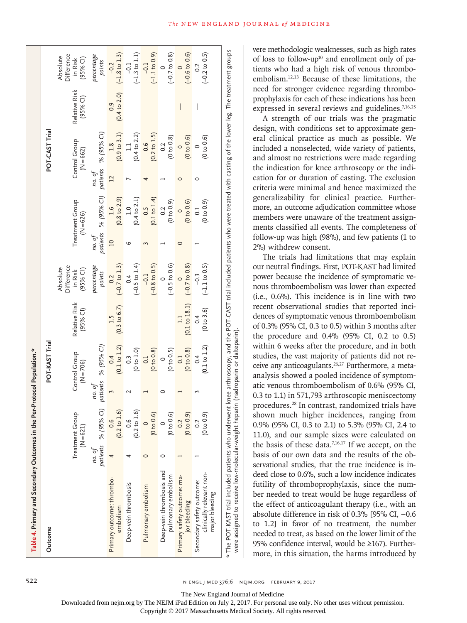| Table 4. Primary and Secondary Outcomes in the Per-Protocol Population.*                                                                                                             |        |                                |                    |                                 |                           |                                                        |                    |                                |                    |                                                    |                           |                                                 |
|--------------------------------------------------------------------------------------------------------------------------------------------------------------------------------------|--------|--------------------------------|--------------------|---------------------------------|---------------------------|--------------------------------------------------------|--------------------|--------------------------------|--------------------|----------------------------------------------------|---------------------------|-------------------------------------------------|
| Outcome                                                                                                                                                                              |        |                                |                    | POT-KAST Trial                  |                           |                                                        |                    |                                |                    | POT-CAST Trial                                     |                           |                                                 |
|                                                                                                                                                                                      |        | Treatment Group<br>$(N = 621)$ |                    | Control Group<br>$(N = 706)$    | Relative Risk<br>(95% C1) | <b>Jifference</b><br>Absolute<br>$(95%$ CI)<br>in Risk |                    | Treatment Group<br>$(N = 626)$ |                    | Control Group<br>$(N = 662)$                       | Relative Risk<br>(95% C1) | Difference<br>Absolute<br>$(95%$ CI)<br>in Risk |
|                                                                                                                                                                                      | no. of | patients % (95% CI)            | patients<br>no. of | % (95% CI)                      |                           | percentage<br>points                                   | patients<br>no. of | % (95% CI)                     | patients<br>no. of | % (95% CI)                                         |                           | percentage<br>points                            |
| Primary outcome: thrombo-<br>embolism                                                                                                                                                |        | (0.2 to 1.6)<br>0.6            |                    | (0.1 to 1.2)<br>0.4             | $(0.3 \text{ to } 6.7)$   | $(-0.7 \text{ to } 1.3)$<br>0.2                        | $\overline{C}$     | $(0.8 \text{ to } 2.9)$<br>1.6 | $\overline{12}$    | (0.9 to 3.1)<br>1.8                                | (0.4 to 2.0)<br>0.9       | $(-1.8 \text{ to } 1.3)$<br>$-0.2$              |
| Deep-vein thrombosis                                                                                                                                                                 |        | $(0.2 \text{ to } 1.6)$<br>0.6 |                    | (0 t 0 1.0)<br>$0.\overline{3}$ |                           | $(-0.5 \text{ to } 1.4)$<br>0.4                        |                    | $(0.4 \text{ to } 2.1)$<br>1.0 |                    | (0.4 to 2.2)<br>$\begin{array}{c} 1.1 \end{array}$ |                           | $(-1.3 \text{ to } 1.1)$<br>$-0.1$              |
| Pulmonary embolism                                                                                                                                                                   |        | (0 t 0 0.6)                    |                    | (0 to 0.8)<br>0.1               |                           | $(-0.8 \text{ to } 0.5)$<br>$-0.1$                     |                    | (0.1 to 1.4)<br>0.5            |                    | $(0.2 \text{ to } 1.5)$<br>0.6                     |                           | $(-1.1 to 0.9)$<br>$-0.1$                       |
| Deep-vein thrombosis and<br>pulmonary embolism                                                                                                                                       |        | (0 to 0.6)                     |                    | (0 to 0.5)                      |                           | $(-0.5 to 0.6)$                                        |                    | (0 t 0.9)<br>$\overline{0.2}$  |                    | (0 to 0.8)<br>0.2                                  |                           | $(-0.7 \text{ to } 0.8)$                        |
| Primary safety outcome: ma-<br>jor bleeding                                                                                                                                          |        | (0 t 0.9)<br>0.2               |                    | (0 to 0.8)<br>$\overline{0}$ .  | (0.1 to 18.1)             | $(-0.7 t 0.8)$<br>$\circ$                              |                    | (0 to 0.6)<br>$\circ$          |                    | (0 to 0.6)<br>$\circ$                              |                           | $(-0.6 \text{ to } 0.6)$                        |
| clinically relevant non-<br>Secondary safety outcome:<br>major bleeding                                                                                                              |        | (0 to 0.9)<br>0.2              |                    | (0.1 to 1.2)<br>0.4             | (0 to 3.6)                | $(-1.1 to 0.5)$                                        |                    | (0 to 0.9)<br>$\overline{0}$ . |                    | (0 to 0.6)                                         | I                         | $(-0.2 \text{ to } 0.5)$<br>$\sim$              |
| * The POT-KAST trial included patients who underwent knee arthroscopy, and the POT-CAST trial included patients who were treated with casting of the lower leg. The treatment groups |        |                                |                    |                                 |                           |                                                        |                    |                                |                    |                                                    |                           |                                                 |

vere methodologic weaknesses, such as high rates of loss to follow-up<sup>10</sup> and enrollment only of patients who had a high risk of venous thromboembolism.12,13 Because of these limitations, the need for stronger evidence regarding thromboprophylaxis for each of these indications has been expressed in several reviews and guidelines.<sup>7,16,25</sup>

A strength of our trials was the pragmatic design, with conditions set to approximate general clinical practice as much as possible. We included a nonselected, wide variety of patients, and almost no restrictions were made regarding the indication for knee arthroscopy or the indication for or duration of casting. The exclusion criteria were minimal and hence maximized the generalizability for clinical practice. Furthermore, an outcome adjudication committee whose members were unaware of the treatment assignments classified all events. The completeness of follow-up was high (98%), and few patients (1 to 2%) withdrew consent.

The trials had limitations that may explain our neutral findings. First, POT-KAST had limited power because the incidence of symptomatic venous thromboembolism was lower than expected (i.e., 0.6%). This incidence is in line with two recent observational studies that reported incidences of symptomatic venous thromboembolism of 0.3% (95% CI, 0.3 to 0.5) within 3 months after the procedure and 0.4% (95% CI, 0.2 to 0.5) within 6 weeks after the procedure, and in both studies, the vast majority of patients did not receive any anticoagulants.<sup>26,27</sup> Furthermore, a metaanalysis showed a pooled incidence of symptomatic venous thromboembolism of 0.6% (95% CI, 0.3 to 1.1) in 571,793 arthroscopic meniscectomy procedures.28 In contrast, randomized trials have shown much higher incidences, ranging from 0.9% (95% CI, 0.3 to 2.1) to 5.3% (95% CI, 2.4 to 11.0), and our sample sizes were calculated on the basis of these data.<sup>7,16,17</sup> If we accept, on the basis of our own data and the results of the observational studies, that the true incidence is indeed close to 0.6%, such a low incidence indicates futility of thromboprophylaxis, since the number needed to treat would be huge regardless of the effect of anticoagulant therapy (i.e., with an absolute difference in risk of 0.3% [95% CI, −0.6 to 1.2] in favor of no treatment, the number needed to treat, as based on the lower limit of the 95% confidence interval, would be ≥167). Furthermore, in this situation, the harms introduced by

522 **n engl j med 376;6 nejm.org February 9, 2017** N ENGL J MED 376;6 NEJM.ORG FEBRUARY 9, 2017

The New England Journal of Medicine

Downloaded from nejm.org by The NEJM iPad Edition on July 2, 2017. For personal use only. No other uses without permission.

were a

Copyright © 2017 Massachusetts Medical Society. All rights reserved.

were assigned to receive low-molecular-weight heparin (nadroparin or dalteparin).

assigned to receive low-molecular-weight heparin (nadroparin or dalteparin)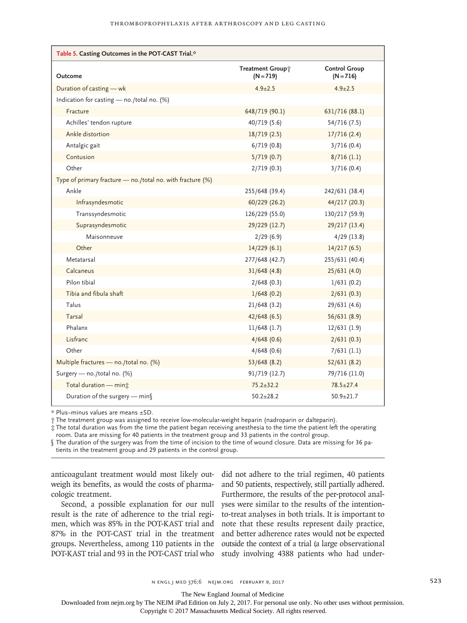| Table 5. Casting Outcomes in the POT-CAST Trial.*          |                                 |                                     |
|------------------------------------------------------------|---------------------------------|-------------------------------------|
| Outcome                                                    | Treatment Group*<br>$(N = 719)$ | <b>Control Group</b><br>$(N = 716)$ |
| Duration of casting - wk                                   | $4.9 \pm 2.5$                   | $4.9 \pm 2.5$                       |
| Indication for casting - no./total no. (%)                 |                                 |                                     |
| Fracture                                                   | 648/719 (90.1)                  | 631/716 (88.1)                      |
| Achilles' tendon rupture                                   | 40/719 (5.6)                    | 54/716 (7.5)                        |
| Ankle distortion                                           | 18/719(2.5)                     | 17/716(2.4)                         |
| Antalgic gait                                              | 6/719(0.8)                      | 3/716(0.4)                          |
| Contusion                                                  | 5/719(0.7)                      | 8/716(1.1)                          |
| Other                                                      | 2/719(0.3)                      | 3/716(0.4)                          |
| Type of primary fracture - no./total no. with fracture (%) |                                 |                                     |
| Ankle                                                      | 255/648 (39.4)                  | 242/631 (38.4)                      |
| Infrasyndesmotic                                           | 60/229 (26.2)                   | 44/217 (20.3)                       |
| Transsyndesmotic                                           | 126/229 (55.0)                  | 130/217 (59.9)                      |
| Suprasyndesmotic                                           | 29/229 (12.7)                   | 29/217 (13.4)                       |
| Maisonneuve                                                | 2/29(6.9)                       | $4/29$ (13.8)                       |
| Other                                                      | 14/229(6.1)                     | 14/217(6.5)                         |
| Metatarsal                                                 | 277/648 (42.7)                  | 255/631 (40.4)                      |
| Calcaneus                                                  | 31/648(4.8)                     | 25/631(4.0)                         |
| Pilon tibial                                               | 2/648(0.3)                      | 1/631(0.2)                          |
| Tibia and fibula shaft                                     | 1/648(0.2)                      | 2/631(0.3)                          |
| Talus                                                      | 21/648(3.2)                     | 29/631 (4.6)                        |
| Tarsal                                                     | 42/648(6.5)                     | 56/631(8.9)                         |
| Phalanx                                                    | $11/648$ (1.7)                  | 12/631(1.9)                         |
| Lisfranc                                                   | 4/648(0.6)                      | 2/631(0.3)                          |
| Other                                                      | 4/648(0.6)                      | 7/631(1.1)                          |
| Multiple fractures - no./total no. (%)                     | 53/648(8.2)                     | 52/631(8.2)                         |
| Surgery - no./total no. (%)                                | 91/719 (12.7)                   | 79/716 (11.0)                       |
| Total duration - mint                                      | $75.2 \pm 32.2$                 | $78.5 \pm 27.4$                     |
| Duration of the surgery - min                              | $50.2 \pm 28.2$                 | $50.9 \pm 21.7$                     |

\* Plus–minus values are means ±SD.

† The treatment group was assigned to receive low-molecular-weight heparin (nadroparin or dalteparin).

‡ The total duration was from the time the patient began receiving anesthesia to the time the patient left the operating room. Data are missing for 40 patients in the treatment group and 33 patients in the control group.

§ The duration of the surgery was from the time of incision to the time of wound closure. Data are missing for 36 patients in the treatment group and 29 patients in the control group.

anticoagulant treatment would most likely outweigh its benefits, as would the costs of pharmacologic treatment.

Second, a possible explanation for our null result is the rate of adherence to the trial regimen, which was 85% in the POT-KAST trial and 87% in the POT-CAST trial in the treatment groups. Nevertheless, among 110 patients in the POT-KAST trial and 93 in the POT-CAST trial who

did not adhere to the trial regimen, 40 patients and 50 patients, respectively, still partially adhered. Furthermore, the results of the per-protocol analyses were similar to the results of the intentionto-treat analyses in both trials. It is important to note that these results represent daily practice, and better adherence rates would not be expected outside the context of a trial (a large observational study involving 4388 patients who had under-

The New England Journal of Medicine

Downloaded from nejm.org by The NEJM iPad Edition on July 2, 2017. For personal use only. No other uses without permission.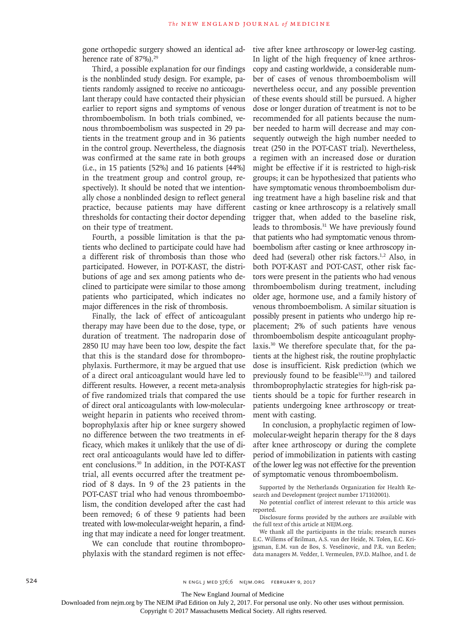gone orthopedic surgery showed an identical adherence rate of 87%).<sup>29</sup>

Third, a possible explanation for our findings is the nonblinded study design. For example, patients randomly assigned to receive no anticoagulant therapy could have contacted their physician earlier to report signs and symptoms of venous thromboembolism. In both trials combined, venous thromboembolism was suspected in 29 patients in the treatment group and in 36 patients in the control group. Nevertheless, the diagnosis was confirmed at the same rate in both groups (i.e., in 15 patients [52%] and 16 patients [44%] in the treatment group and control group, respectively). It should be noted that we intentionally chose a nonblinded design to reflect general practice, because patients may have different thresholds for contacting their doctor depending on their type of treatment.

Fourth, a possible limitation is that the patients who declined to participate could have had a different risk of thrombosis than those who participated. However, in POT-KAST, the distributions of age and sex among patients who declined to participate were similar to those among patients who participated, which indicates no major differences in the risk of thrombosis.

Finally, the lack of effect of anticoagulant therapy may have been due to the dose, type, or duration of treatment. The nadroparin dose of 2850 IU may have been too low, despite the fact that this is the standard dose for thromboprophylaxis. Furthermore, it may be argued that use of a direct oral anticoagulant would have led to different results. However, a recent meta-analysis of five randomized trials that compared the use of direct oral anticoagulants with low-molecularweight heparin in patients who received thromboprophylaxis after hip or knee surgery showed no difference between the two treatments in efficacy, which makes it unlikely that the use of direct oral anticoagulants would have led to different conclusions.30 In addition, in the POT-KAST trial, all events occurred after the treatment period of 8 days. In 9 of the 23 patients in the POT-CAST trial who had venous thromboembolism, the condition developed after the cast had been removed; 6 of these 9 patients had been treated with low-molecular-weight heparin, a finding that may indicate a need for longer treatment.

We can conclude that routine thromboprophylaxis with the standard regimen is not effective after knee arthroscopy or lower-leg casting. In light of the high frequency of knee arthroscopy and casting worldwide, a considerable number of cases of venous thromboembolism will nevertheless occur, and any possible prevention of these events should still be pursued. A higher dose or longer duration of treatment is not to be recommended for all patients because the number needed to harm will decrease and may consequently outweigh the high number needed to treat (250 in the POT-CAST trial). Nevertheless, a regimen with an increased dose or duration might be effective if it is restricted to high-risk groups; it can be hypothesized that patients who have symptomatic venous thromboembolism during treatment have a high baseline risk and that casting or knee arthroscopy is a relatively small trigger that, when added to the baseline risk, leads to thrombosis.31 We have previously found that patients who had symptomatic venous thromboembolism after casting or knee arthroscopy indeed had (several) other risk factors.<sup>1,2</sup> Also, in both POT-KAST and POT-CAST, other risk factors were present in the patients who had venous thromboembolism during treatment, including older age, hormone use, and a family history of venous thromboembolism. A similar situation is possibly present in patients who undergo hip replacement; 2% of such patients have venous thromboembolism despite anticoagulant prophylaxis.30 We therefore speculate that, for the patients at the highest risk, the routine prophylactic dose is insufficient. Risk prediction (which we previously found to be feasible<sup>32,33</sup>) and tailored thromboprophylactic strategies for high-risk patients should be a topic for further research in patients undergoing knee arthroscopy or treatment with casting.

In conclusion, a prophylactic regimen of lowmolecular-weight heparin therapy for the 8 days after knee arthroscopy or during the complete period of immobilization in patients with casting of the lower leg was not effective for the prevention of symptomatic venous thromboembolism.

Supported by the Netherlands Organization for Health Research and Development (project number 171102001).

No potential conflict of interest relevant to this article was reported.

Disclosure forms provided by the authors are available with the full text of this article at NEJM.org.

We thank all the participants in the trials; research nurses E.C. Willems of Brilman, A.S. van der Heide, N. Tolen, E.C. Krijgsman, E.M. van de Bos, S. Veselinovic, and P.R. van Beelen; data managers M. Vedder, I. Vermeulen, P.V.D. Malhoe, and I. de

The New England Journal of Medicine

Downloaded from nejm.org by The NEJM iPad Edition on July 2, 2017. For personal use only. No other uses without permission.